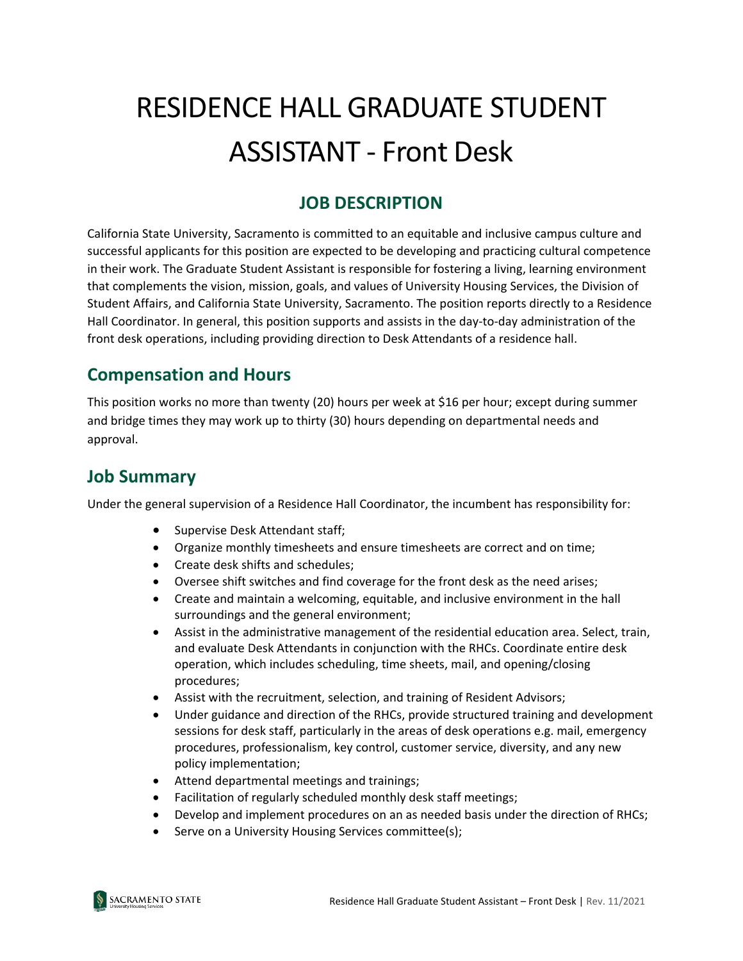# RESIDENCE HALL GRADUATE STUDENT ASSISTANT - Front Desk

## **JOB DESCRIPTION**

California State University, Sacramento is committed to an equitable and inclusive campus culture and successful applicants for this position are expected to be developing and practicing cultural competence in their work. The Graduate Student Assistant is responsible for fostering a living, learning environment that complements the vision, mission, goals, and values of University Housing Services, the Division of Student Affairs, and California State University, Sacramento. The position reports directly to a Residence Hall Coordinator. In general, this position supports and assists in the day-to-day administration of the front desk operations, including providing direction to Desk Attendants of a residence hall.

## **Compensation and Hours**

This position works no more than twenty (20) hours per week at \$16 per hour; except during summer and bridge times they may work up to thirty (30) hours depending on departmental needs and approval.

### **Job Summary**

Under the general supervision of a Residence Hall Coordinator, the incumbent has responsibility for:

- Supervise Desk Attendant staff;
- Organize monthly timesheets and ensure timesheets are correct and on time;
- Create desk shifts and schedules;
- Oversee shift switches and find coverage for the front desk as the need arises;
- Create and maintain a welcoming, equitable, and inclusive environment in the hall surroundings and the general environment;
- Assist in the administrative management of the residential education area. Select, train, and evaluate Desk Attendants in conjunction with the RHCs. Coordinate entire desk operation, which includes scheduling, time sheets, mail, and opening/closing procedures;
- Assist with the recruitment, selection, and training of Resident Advisors;
- Under guidance and direction of the RHCs, provide structured training and development sessions for desk staff, particularly in the areas of desk operations e.g. mail, emergency procedures, professionalism, key control, customer service, diversity, and any new policy implementation;
- Attend departmental meetings and trainings;
- Facilitation of regularly scheduled monthly desk staff meetings;
- Develop and implement procedures on an as needed basis under the direction of RHCs;
- Serve on a University Housing Services committee(s);

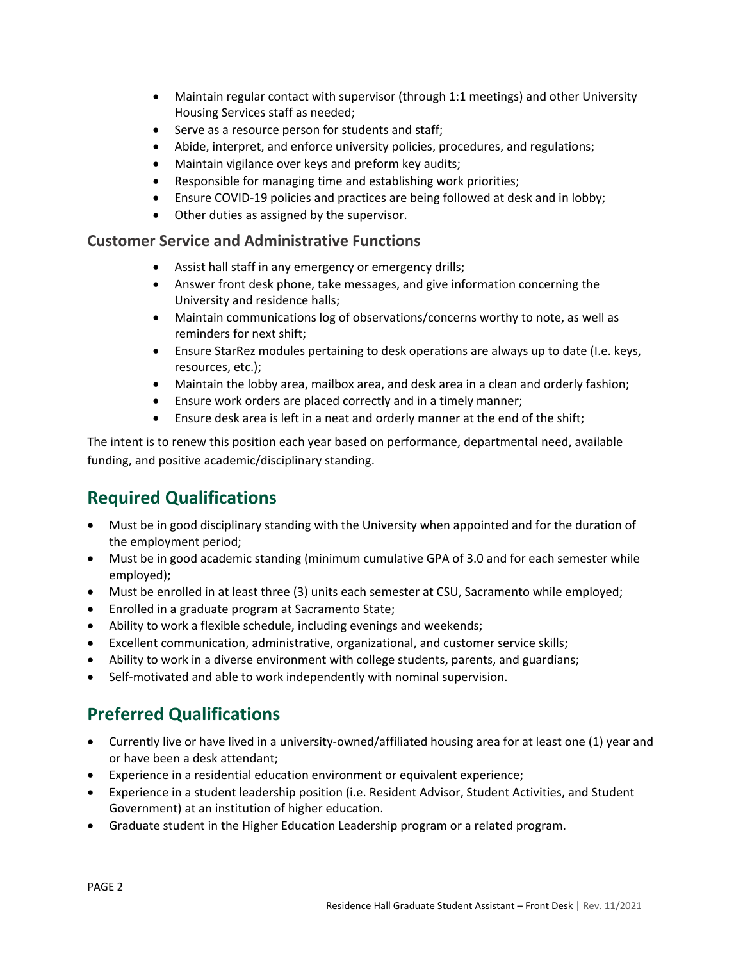- Maintain regular contact with supervisor (through 1:1 meetings) and other University Housing Services staff as needed;
- Serve as a resource person for students and staff;
- Abide, interpret, and enforce university policies, procedures, and regulations;
- Maintain vigilance over keys and preform key audits;
- Responsible for managing time and establishing work priorities;
- Ensure COVID-19 policies and practices are being followed at desk and in lobby;
- Other duties as assigned by the supervisor.

#### **Customer Service and Administrative Functions**

- Assist hall staff in any emergency or emergency drills;
- Answer front desk phone, take messages, and give information concerning the University and residence halls;
- Maintain communications log of observations/concerns worthy to note, as well as reminders for next shift;
- Ensure StarRez modules pertaining to desk operations are always up to date (I.e. keys, resources, etc.);
- Maintain the lobby area, mailbox area, and desk area in a clean and orderly fashion;
- Ensure work orders are placed correctly and in a timely manner;
- Ensure desk area is left in a neat and orderly manner at the end of the shift;

The intent is to renew this position each year based on performance, departmental need, available funding, and positive academic/disciplinary standing.

# **Required Qualifications**

- Must be in good disciplinary standing with the University when appointed and for the duration of the employment period;
- Must be in good academic standing (minimum cumulative GPA of 3.0 and for each semester while employed);
- Must be enrolled in at least three (3) units each semester at CSU, Sacramento while employed;
- Enrolled in a graduate program at Sacramento State;
- Ability to work a flexible schedule, including evenings and weekends;
- Excellent communication, administrative, organizational, and customer service skills;
- Ability to work in a diverse environment with college students, parents, and guardians;
- Self-motivated and able to work independently with nominal supervision.

# **Preferred Qualifications**

- Currently live or have lived in a university-owned/affiliated housing area for at least one (1) year and or have been a desk attendant;
- Experience in a residential education environment or equivalent experience;
- Experience in a student leadership position (i.e. Resident Advisor, Student Activities, and Student Government) at an institution of higher education.
- Graduate student in the Higher Education Leadership program or a related program.